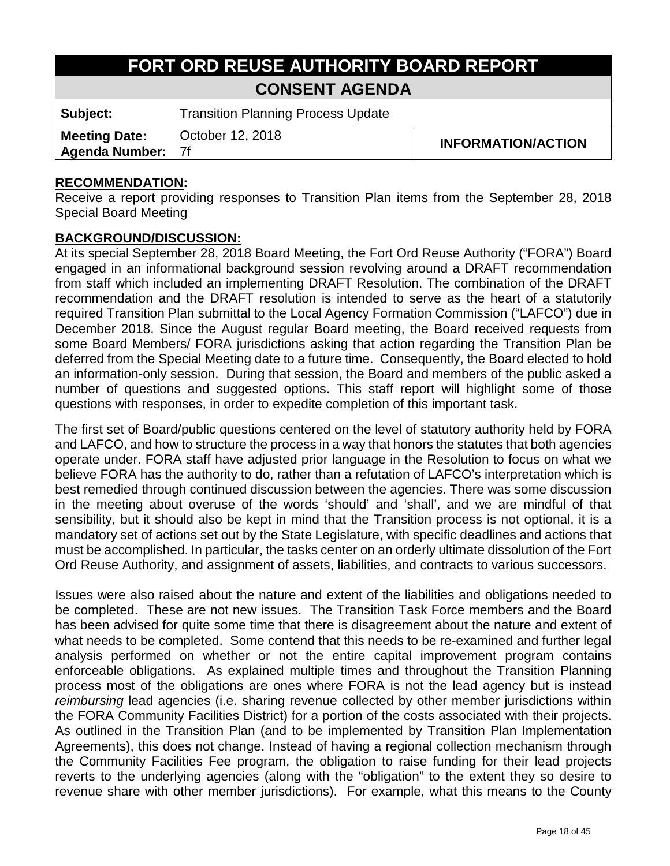# **FORT ORD REUSE AUTHORITY BOARD REPORT CONSENT AGENDA**

**Subject:** Transition Planning Process Update

**Meeting Date: Agenda Number:** October 12, 2018<br> **INFORMATION/ACTION** 

#### **RECOMMENDATION:**

Receive a report providing responses to Transition Plan items from the September 28, 2018 Special Board Meeting

#### **BACKGROUND/DISCUSSION:**

At its special September 28, 2018 Board Meeting, the Fort Ord Reuse Authority ("FORA") Board engaged in an informational background session revolving around a DRAFT recommendation from staff which included an implementing DRAFT Resolution. The combination of the DRAFT recommendation and the DRAFT resolution is intended to serve as the heart of a statutorily required Transition Plan submittal to the Local Agency Formation Commission ("LAFCO") due in December 2018. Since the August regular Board meeting, the Board received requests from some Board Members/ FORA jurisdictions asking that action regarding the Transition Plan be deferred from the Special Meeting date to a future time. Consequently, the Board elected to hold an information-only session. During that session, the Board and members of the public asked a number of questions and suggested options. This staff report will highlight some of those questions with responses, in order to expedite completion of this important task.

The first set of Board/public questions centered on the level of statutory authority held by FORA and LAFCO, and how to structure the process in a way that honors the statutes that both agencies operate under. FORA staff have adjusted prior language in the Resolution to focus on what we believe FORA has the authority to do, rather than a refutation of LAFCO's interpretation which is best remedied through continued discussion between the agencies. There was some discussion in the meeting about overuse of the words 'should' and 'shall', and we are mindful of that sensibility, but it should also be kept in mind that the Transition process is not optional, it is a mandatory set of actions set out by the State Legislature, with specific deadlines and actions that must be accomplished. In particular, the tasks center on an orderly ultimate dissolution of the Fort Ord Reuse Authority, and assignment of assets, liabilities, and contracts to various successors.

Issues were also raised about the nature and extent of the liabilities and obligations needed to be completed. These are not new issues. The Transition Task Force members and the Board has been advised for quite some time that there is disagreement about the nature and extent of what needs to be completed. Some contend that this needs to be re-examined and further legal analysis performed on whether or not the entire capital improvement program contains enforceable obligations. As explained multiple times and throughout the Transition Planning process most of the obligations are ones where FORA is not the lead agency but is instead *reimbursing* lead agencies (i.e. sharing revenue collected by other member jurisdictions within the FORA Community Facilities District) for a portion of the costs associated with their projects. As outlined in the Transition Plan (and to be implemented by Transition Plan Implementation Agreements), this does not change. Instead of having a regional collection mechanism through the Community Facilities Fee program, the obligation to raise funding for their lead projects reverts to the underlying agencies (along with the "obligation" to the extent they so desire to revenue share with other member jurisdictions). For example, what this means to the County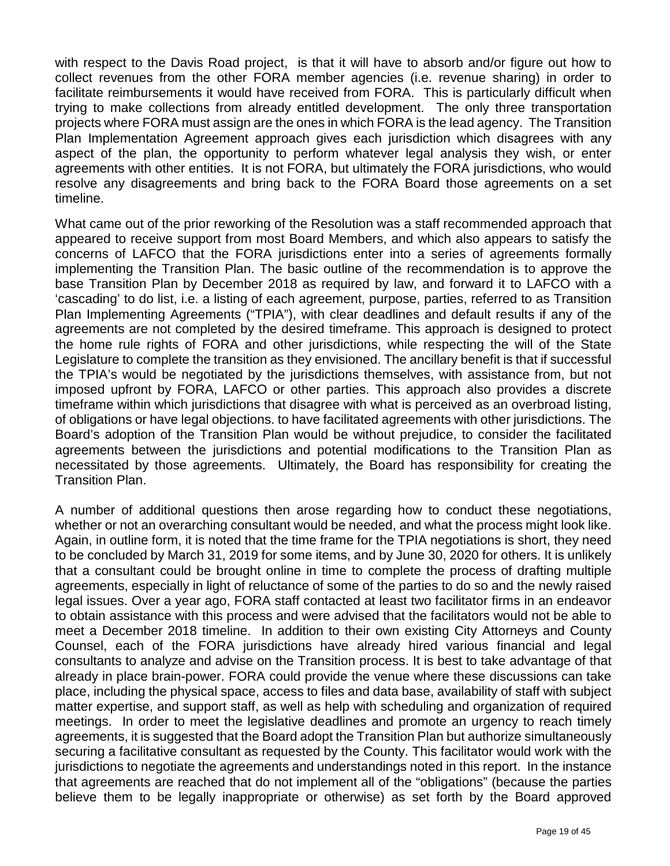with respect to the Davis Road project, is that it will have to absorb and/or figure out how to collect revenues from the other FORA member agencies (i.e. revenue sharing) in order to facilitate reimbursements it would have received from FORA. This is particularly difficult when trying to make collections from already entitled development. The only three transportation projects where FORA must assign are the ones in which FORA is the lead agency. The Transition Plan Implementation Agreement approach gives each jurisdiction which disagrees with any aspect of the plan, the opportunity to perform whatever legal analysis they wish, or enter agreements with other entities. It is not FORA, but ultimately the FORA jurisdictions, who would resolve any disagreements and bring back to the FORA Board those agreements on a set timeline.

What came out of the prior reworking of the Resolution was a staff recommended approach that appeared to receive support from most Board Members, and which also appears to satisfy the concerns of LAFCO that the FORA jurisdictions enter into a series of agreements formally implementing the Transition Plan. The basic outline of the recommendation is to approve the base Transition Plan by December 2018 as required by law, and forward it to LAFCO with a 'cascading' to do list, i.e. a listing of each agreement, purpose, parties, referred to as Transition Plan Implementing Agreements ("TPIA"), with clear deadlines and default results if any of the agreements are not completed by the desired timeframe. This approach is designed to protect the home rule rights of FORA and other jurisdictions, while respecting the will of the State Legislature to complete the transition as they envisioned. The ancillary benefit is that if successful the TPIA's would be negotiated by the jurisdictions themselves, with assistance from, but not imposed upfront by FORA, LAFCO or other parties. This approach also provides a discrete timeframe within which jurisdictions that disagree with what is perceived as an overbroad listing, of obligations or have legal objections. to have facilitated agreements with other jurisdictions. The Board's adoption of the Transition Plan would be without prejudice, to consider the facilitated agreements between the jurisdictions and potential modifications to the Transition Plan as necessitated by those agreements. Ultimately, the Board has responsibility for creating the Transition Plan.

A number of additional questions then arose regarding how to conduct these negotiations, whether or not an overarching consultant would be needed, and what the process might look like. Again, in outline form, it is noted that the time frame for the TPIA negotiations is short, they need to be concluded by March 31, 2019 for some items, and by June 30, 2020 for others. It is unlikely that a consultant could be brought online in time to complete the process of drafting multiple agreements, especially in light of reluctance of some of the parties to do so and the newly raised legal issues. Over a year ago, FORA staff contacted at least two facilitator firms in an endeavor to obtain assistance with this process and were advised that the facilitators would not be able to meet a December 2018 timeline. In addition to their own existing City Attorneys and County Counsel, each of the FORA jurisdictions have already hired various financial and legal consultants to analyze and advise on the Transition process. It is best to take advantage of that already in place brain-power. FORA could provide the venue where these discussions can take place, including the physical space, access to files and data base, availability of staff with subject matter expertise, and support staff, as well as help with scheduling and organization of required meetings. In order to meet the legislative deadlines and promote an urgency to reach timely agreements, it is suggested that the Board adopt the Transition Plan but authorize simultaneously securing a facilitative consultant as requested by the County. This facilitator would work with the jurisdictions to negotiate the agreements and understandings noted in this report. In the instance that agreements are reached that do not implement all of the "obligations" (because the parties believe them to be legally inappropriate or otherwise) as set forth by the Board approved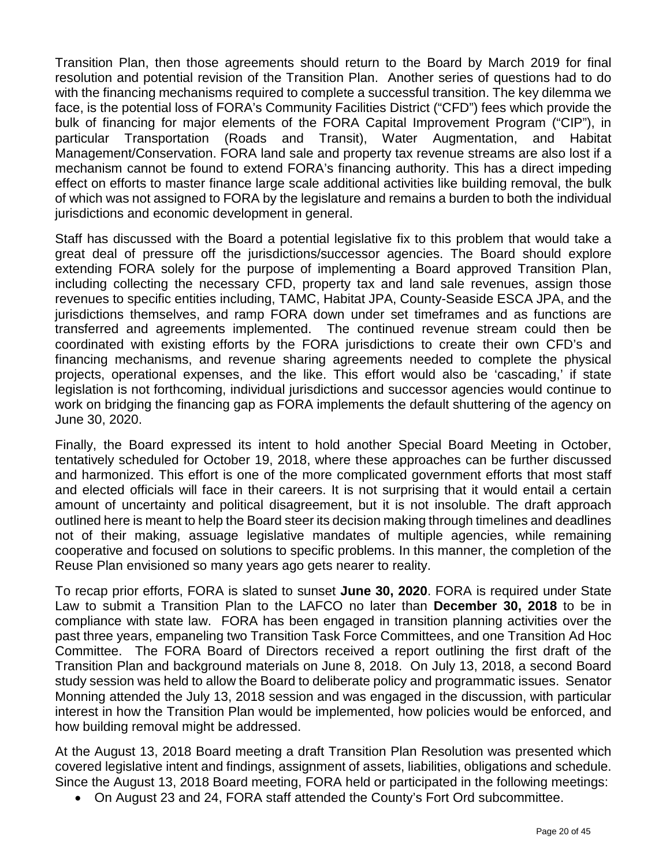Transition Plan, then those agreements should return to the Board by March 2019 for final resolution and potential revision of the Transition Plan. Another series of questions had to do with the financing mechanisms required to complete a successful transition. The key dilemma we face, is the potential loss of FORA's Community Facilities District ("CFD") fees which provide the bulk of financing for major elements of the FORA Capital Improvement Program ("CIP"), in particular Transportation (Roads and Transit), Water Augmentation, and Habitat Management/Conservation. FORA land sale and property tax revenue streams are also lost if a mechanism cannot be found to extend FORA's financing authority. This has a direct impeding effect on efforts to master finance large scale additional activities like building removal, the bulk of which was not assigned to FORA by the legislature and remains a burden to both the individual jurisdictions and economic development in general.

Staff has discussed with the Board a potential legislative fix to this problem that would take a great deal of pressure off the jurisdictions/successor agencies. The Board should explore extending FORA solely for the purpose of implementing a Board approved Transition Plan, including collecting the necessary CFD, property tax and land sale revenues, assign those revenues to specific entities including, TAMC, Habitat JPA, County-Seaside ESCA JPA, and the jurisdictions themselves, and ramp FORA down under set timeframes and as functions are transferred and agreements implemented. The continued revenue stream could then be coordinated with existing efforts by the FORA jurisdictions to create their own CFD's and financing mechanisms, and revenue sharing agreements needed to complete the physical projects, operational expenses, and the like. This effort would also be 'cascading,' if state legislation is not forthcoming, individual jurisdictions and successor agencies would continue to work on bridging the financing gap as FORA implements the default shuttering of the agency on June 30, 2020.

Finally, the Board expressed its intent to hold another Special Board Meeting in October, tentatively scheduled for October 19, 2018, where these approaches can be further discussed and harmonized. This effort is one of the more complicated government efforts that most staff and elected officials will face in their careers. It is not surprising that it would entail a certain amount of uncertainty and political disagreement, but it is not insoluble. The draft approach outlined here is meant to help the Board steer its decision making through timelines and deadlines not of their making, assuage legislative mandates of multiple agencies, while remaining cooperative and focused on solutions to specific problems. In this manner, the completion of the Reuse Plan envisioned so many years ago gets nearer to reality.

To recap prior efforts, FORA is slated to sunset **June 30, 2020**. FORA is required under State Law to submit a Transition Plan to the LAFCO no later than **December 30, 2018** to be in compliance with state law. FORA has been engaged in transition planning activities over the past three years, empaneling two Transition Task Force Committees, and one Transition Ad Hoc Committee. The FORA Board of Directors received a report outlining the first draft of the Transition Plan and background materials on June 8, 2018. On July 13, 2018, a second Board study session was held to allow the Board to deliberate policy and programmatic issues. Senator Monning attended the July 13, 2018 session and was engaged in the discussion, with particular interest in how the Transition Plan would be implemented, how policies would be enforced, and how building removal might be addressed.

At the August 13, 2018 Board meeting a draft Transition Plan Resolution was presented which covered legislative intent and findings, assignment of assets, liabilities, obligations and schedule. Since the August 13, 2018 Board meeting, FORA held or participated in the following meetings:

• On August 23 and 24, FORA staff attended the County's Fort Ord subcommittee.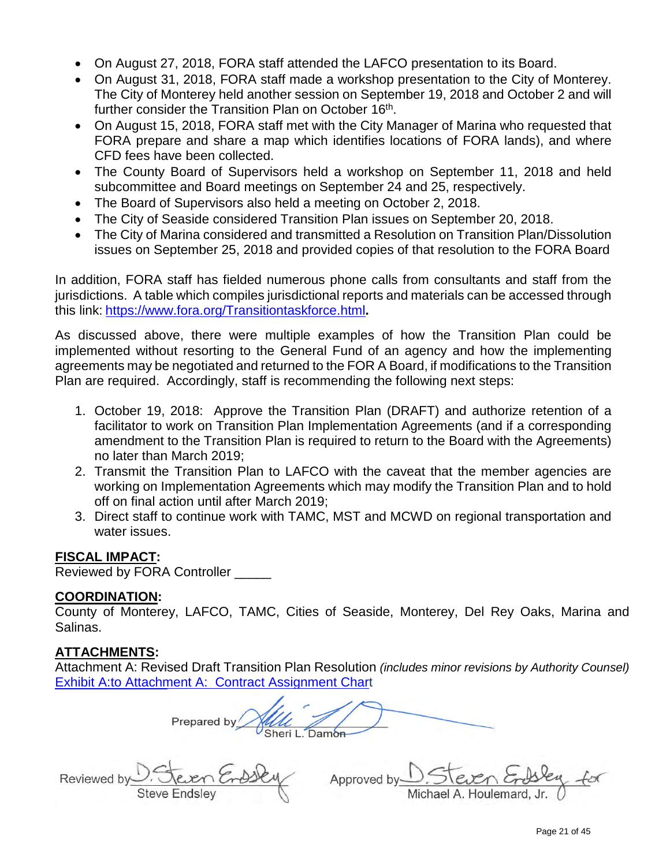- On August 27, 2018, FORA staff attended the LAFCO presentation to its Board.
- On August 31, 2018, FORA staff made a workshop presentation to the City of Monterey. The City of Monterey held another session on September 19, 2018 and October 2 and will further consider the Transition Plan on October 16<sup>th</sup>.
- On August 15, 2018, FORA staff met with the City Manager of Marina who requested that FORA prepare and share a map which identifies locations of FORA lands), and where CFD fees have been collected.
- The County Board of Supervisors held a workshop on September 11, 2018 and held subcommittee and Board meetings on September 24 and 25, respectively.
- The Board of Supervisors also held a meeting on October 2, 2018.
- The City of Seaside considered Transition Plan issues on September 20, 2018.
- The City of Marina considered and transmitted a Resolution on Transition Plan/Dissolution issues on September 25, 2018 and provided copies of that resolution to the FORA Board

In addition, FORA staff has fielded numerous phone calls from consultants and staff from the jurisdictions. A table which compiles jurisdictional reports and materials can be accessed through this link: <https://www.fora.org/Transitiontaskforce.html>**.** 

As discussed above, there were multiple examples of how the Transition Plan could be implemented without resorting to the General Fund of an agency and how the implementing agreements may be negotiated and returned to the FOR A Board, if modifications to the Transition Plan are required. Accordingly, staff is recommending the following next steps:

- 1. October 19, 2018: Approve the Transition Plan (DRAFT) and authorize retention of a facilitator to work on Transition Plan Implementation Agreements (and if a corresponding amendment to the Transition Plan is required to return to the Board with the Agreements) no later than March 2019;
- 2. Transmit the Transition Plan to LAFCO with the caveat that the member agencies are working on Implementation Agreements which may modify the Transition Plan and to hold off on final action until after March 2019;
- 3. Direct staff to continue work with TAMC, MST and MCWD on regional transportation and water issues.

#### **FISCAL IMPACT:**

Reviewed by FORA Controller \_\_\_\_\_

#### **COORDINATION:**

County of Monterey, LAFCO, TAMC, Cities of Seaside, Monterey, Del Rey Oaks, Marina and Salinas.

# **ATTACHMENTS:**

Attachment A: Revised Draft Transition Plan Resolution *(includes minor revisions by Authority Counsel)* [Exhibit A:to Attachment A: Contract Assignment Chart](https://www.fora.org/Board/2018/Packet/Additional/092818_item8e_AttachmentC_Contract_Summaries.pdf)

Prepared by Sheri L. Damon

Reviewed by

Approved by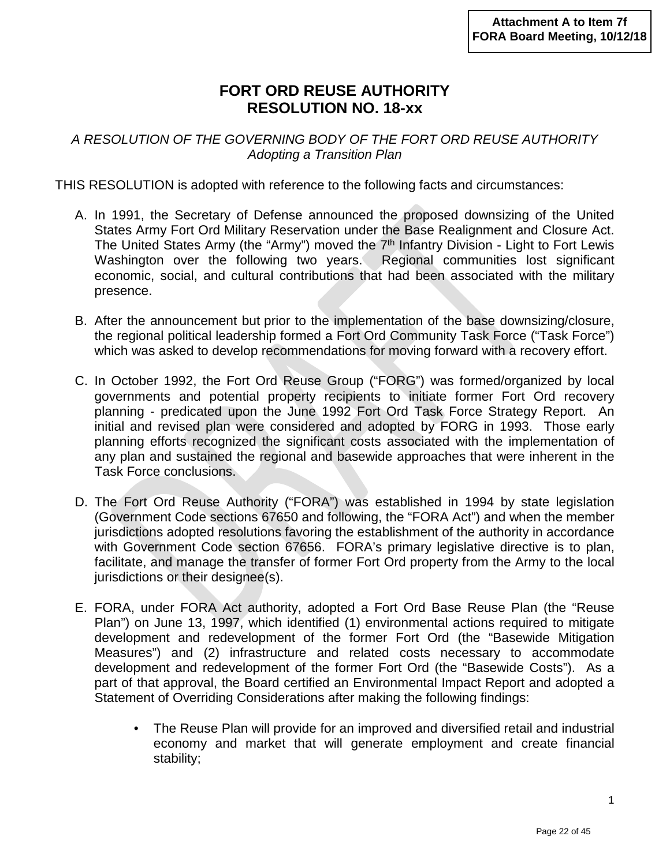# **FORT ORD REUSE AUTHORITY RESOLUTION NO. 18-xx**

*A RESOLUTION OF THE GOVERNING BODY OF THE FORT ORD REUSE AUTHORITY Adopting a Transition Plan*

THIS RESOLUTION is adopted with reference to the following facts and circumstances:

- A. In 1991, the Secretary of Defense announced the proposed downsizing of the United States Army Fort Ord Military Reservation under the Base Realignment and Closure Act. The United States Army (the "Army") moved the 7<sup>th</sup> Infantry Division - Light to Fort Lewis Washington over the following two years. Regional communities lost significant economic, social, and cultural contributions that had been associated with the military presence.
- B. After the announcement but prior to the implementation of the base downsizing/closure, the regional political leadership formed a Fort Ord Community Task Force ("Task Force") which was asked to develop recommendations for moving forward with a recovery effort.
- C. In October 1992, the Fort Ord Reuse Group ("FORG") was formed/organized by local governments and potential property recipients to initiate former Fort Ord recovery planning - predicated upon the June 1992 Fort Ord Task Force Strategy Report. An initial and revised plan were considered and adopted by FORG in 1993. Those early planning efforts recognized the significant costs associated with the implementation of any plan and sustained the regional and basewide approaches that were inherent in the Task Force conclusions.
- D. The Fort Ord Reuse Authority ("FORA") was established in 1994 by state legislation (Government Code sections 67650 and following, the "FORA Act") and when the member jurisdictions adopted resolutions favoring the establishment of the authority in accordance with Government Code section 67656. FORA's primary legislative directive is to plan, facilitate, and manage the transfer of former Fort Ord property from the Army to the local jurisdictions or their designee(s).
- E. FORA, under FORA Act authority, adopted a Fort Ord Base Reuse Plan (the "Reuse Plan") on June 13, 1997, which identified (1) environmental actions required to mitigate development and redevelopment of the former Fort Ord (the "Basewide Mitigation Measures") and (2) infrastructure and related costs necessary to accommodate development and redevelopment of the former Fort Ord (the "Basewide Costs"). As a part of that approval, the Board certified an Environmental Impact Report and adopted a Statement of Overriding Considerations after making the following findings:
	- The Reuse Plan will provide for an improved and diversified retail and industrial economy and market that will generate employment and create financial stability;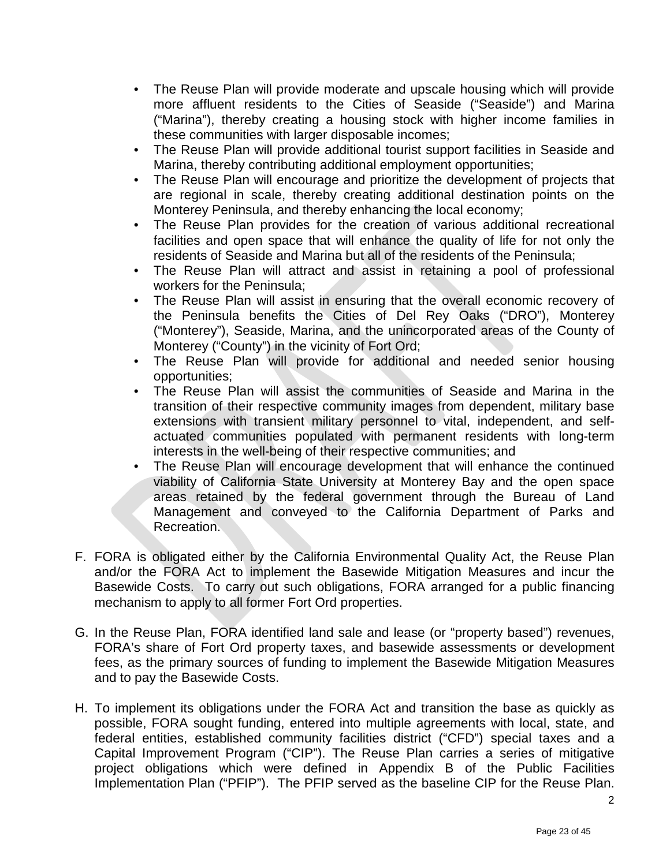- The Reuse Plan will provide moderate and upscale housing which will provide more affluent residents to the Cities of Seaside ("Seaside") and Marina ("Marina"), thereby creating a housing stock with higher income families in these communities with larger disposable incomes;
- The Reuse Plan will provide additional tourist support facilities in Seaside and Marina, thereby contributing additional employment opportunities;
- The Reuse Plan will encourage and prioritize the development of projects that are regional in scale, thereby creating additional destination points on the Monterey Peninsula, and thereby enhancing the local economy;
- The Reuse Plan provides for the creation of various additional recreational facilities and open space that will enhance the quality of life for not only the residents of Seaside and Marina but all of the residents of the Peninsula;
- The Reuse Plan will attract and assist in retaining a pool of professional workers for the Peninsula;
- The Reuse Plan will assist in ensuring that the overall economic recovery of the Peninsula benefits the Cities of Del Rey Oaks ("DRO"), Monterey ("Monterey"), Seaside, Marina, and the unincorporated areas of the County of Monterey ("County") in the vicinity of Fort Ord;
- The Reuse Plan will provide for additional and needed senior housing opportunities;
- The Reuse Plan will assist the communities of Seaside and Marina in the transition of their respective community images from dependent, military base extensions with transient military personnel to vital, independent, and selfactuated communities populated with permanent residents with long-term interests in the well-being of their respective communities; and
- The Reuse Plan will encourage development that will enhance the continued viability of California State University at Monterey Bay and the open space areas retained by the federal government through the Bureau of Land Management and conveyed to the California Department of Parks and Recreation.
- F. FORA is obligated either by the California Environmental Quality Act, the Reuse Plan and/or the FORA Act to implement the Basewide Mitigation Measures and incur the Basewide Costs. To carry out such obligations, FORA arranged for a public financing mechanism to apply to all former Fort Ord properties.
- G. In the Reuse Plan, FORA identified land sale and lease (or "property based") revenues, FORA's share of Fort Ord property taxes, and basewide assessments or development fees, as the primary sources of funding to implement the Basewide Mitigation Measures and to pay the Basewide Costs.
- H. To implement its obligations under the FORA Act and transition the base as quickly as possible, FORA sought funding, entered into multiple agreements with local, state, and federal entities, established community facilities district ("CFD") special taxes and a Capital Improvement Program ("CIP"). The Reuse Plan carries a series of mitigative project obligations which were defined in Appendix B of the Public Facilities Implementation Plan ("PFIP"). The PFIP served as the baseline CIP for the Reuse Plan.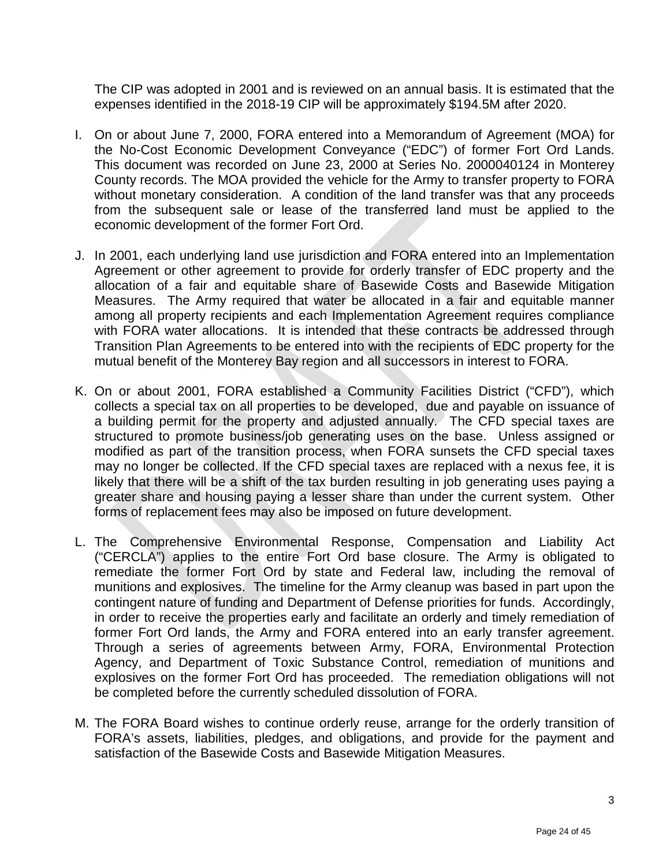The CIP was adopted in 2001 and is reviewed on an annual basis. It is estimated that the expenses identified in the 2018-19 CIP will be approximately \$194.5M after 2020.

- I. On or about June 7, 2000, FORA entered into a Memorandum of Agreement (MOA) for the No-Cost Economic Development Conveyance ("EDC") of former Fort Ord Lands. This document was recorded on June 23, 2000 at Series No. 2000040124 in Monterey County records. The MOA provided the vehicle for the Army to transfer property to FORA without monetary consideration. A condition of the land transfer was that any proceeds from the subsequent sale or lease of the transferred land must be applied to the economic development of the former Fort Ord.
- J. In 2001, each underlying land use jurisdiction and FORA entered into an Implementation Agreement or other agreement to provide for orderly transfer of EDC property and the allocation of a fair and equitable share of Basewide Costs and Basewide Mitigation Measures. The Army required that water be allocated in a fair and equitable manner among all property recipients and each Implementation Agreement requires compliance with FORA water allocations. It is intended that these contracts be addressed through Transition Plan Agreements to be entered into with the recipients of EDC property for the mutual benefit of the Monterey Bay region and all successors in interest to FORA.
- K. On or about 2001, FORA established a Community Facilities District ("CFD"), which collects a special tax on all properties to be developed, due and payable on issuance of a building permit for the property and adjusted annually. The CFD special taxes are structured to promote business/job generating uses on the base. Unless assigned or modified as part of the transition process, when FORA sunsets the CFD special taxes may no longer be collected. If the CFD special taxes are replaced with a nexus fee, it is likely that there will be a shift of the tax burden resulting in job generating uses paying a greater share and housing paying a lesser share than under the current system. Other forms of replacement fees may also be imposed on future development.
- L. The Comprehensive Environmental Response, Compensation and Liability Act ("CERCLA") applies to the entire Fort Ord base closure. The Army is obligated to remediate the former Fort Ord by state and Federal law, including the removal of munitions and explosives. The timeline for the Army cleanup was based in part upon the contingent nature of funding and Department of Defense priorities for funds. Accordingly, in order to receive the properties early and facilitate an orderly and timely remediation of former Fort Ord lands, the Army and FORA entered into an early transfer agreement. Through a series of agreements between Army, FORA, Environmental Protection Agency, and Department of Toxic Substance Control, remediation of munitions and explosives on the former Fort Ord has proceeded. The remediation obligations will not be completed before the currently scheduled dissolution of FORA.
- M. The FORA Board wishes to continue orderly reuse, arrange for the orderly transition of FORA's assets, liabilities, pledges, and obligations, and provide for the payment and satisfaction of the Basewide Costs and Basewide Mitigation Measures.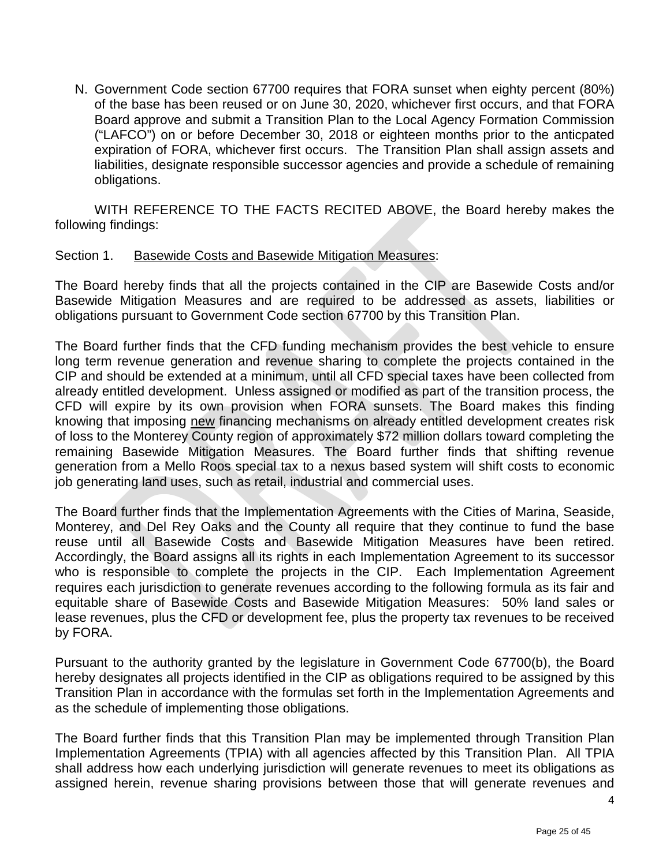N. Government Code section 67700 requires that FORA sunset when eighty percent (80%) of the base has been reused or on June 30, 2020, whichever first occurs, and that FORA Board approve and submit a Transition Plan to the Local Agency Formation Commission ("LAFCO") on or before December 30, 2018 or eighteen months prior to the anticpated expiration of FORA, whichever first occurs. The Transition Plan shall assign assets and liabilities, designate responsible successor agencies and provide a schedule of remaining obligations.

WITH REFERENCE TO THE FACTS RECITED ABOVE, the Board hereby makes the following findings:

#### Section 1. Basewide Costs and Basewide Mitigation Measures:

The Board hereby finds that all the projects contained in the CIP are Basewide Costs and/or Basewide Mitigation Measures and are required to be addressed as assets, liabilities or obligations pursuant to Government Code section 67700 by this Transition Plan.

The Board further finds that the CFD funding mechanism provides the best vehicle to ensure long term revenue generation and revenue sharing to complete the projects contained in the CIP and should be extended at a minimum, until all CFD special taxes have been collected from already entitled development. Unless assigned or modified as part of the transition process, the CFD will expire by its own provision when FORA sunsets. The Board makes this finding knowing that imposing new financing mechanisms on already entitled development creates risk of loss to the Monterey County region of approximately \$72 million dollars toward completing the remaining Basewide Mitigation Measures. The Board further finds that shifting revenue generation from a Mello Roos special tax to a nexus based system will shift costs to economic job generating land uses, such as retail, industrial and commercial uses.

The Board further finds that the Implementation Agreements with the Cities of Marina, Seaside, Monterey, and Del Rey Oaks and the County all require that they continue to fund the base reuse until all Basewide Costs and Basewide Mitigation Measures have been retired. Accordingly, the Board assigns all its rights in each Implementation Agreement to its successor who is responsible to complete the projects in the CIP. Each Implementation Agreement requires each jurisdiction to generate revenues according to the following formula as its fair and equitable share of Basewide Costs and Basewide Mitigation Measures: 50% land sales or lease revenues, plus the CFD or development fee, plus the property tax revenues to be received by FORA.

Pursuant to the authority granted by the legislature in Government Code 67700(b), the Board hereby designates all projects identified in the CIP as obligations required to be assigned by this Transition Plan in accordance with the formulas set forth in the Implementation Agreements and as the schedule of implementing those obligations.

The Board further finds that this Transition Plan may be implemented through Transition Plan Implementation Agreements (TPIA) with all agencies affected by this Transition Plan. All TPIA shall address how each underlying jurisdiction will generate revenues to meet its obligations as assigned herein, revenue sharing provisions between those that will generate revenues and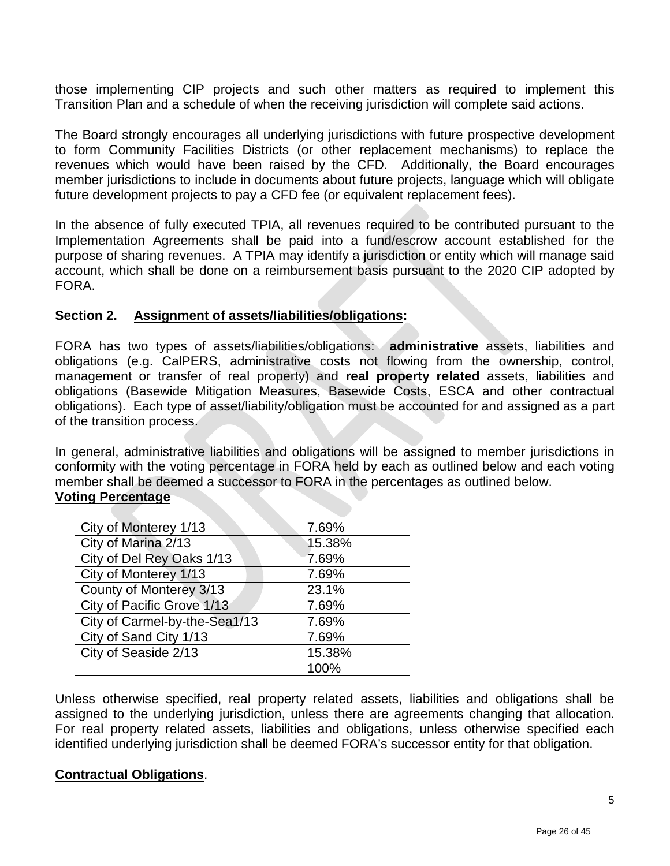those implementing CIP projects and such other matters as required to implement this Transition Plan and a schedule of when the receiving jurisdiction will complete said actions.

The Board strongly encourages all underlying jurisdictions with future prospective development to form Community Facilities Districts (or other replacement mechanisms) to replace the revenues which would have been raised by the CFD. Additionally, the Board encourages member jurisdictions to include in documents about future projects, language which will obligate future development projects to pay a CFD fee (or equivalent replacement fees).

In the absence of fully executed TPIA, all revenues required to be contributed pursuant to the Implementation Agreements shall be paid into a fund/escrow account established for the purpose of sharing revenues. A TPIA may identify a jurisdiction or entity which will manage said account, which shall be done on a reimbursement basis pursuant to the 2020 CIP adopted by FORA.

#### **Section 2. Assignment of assets/liabilities/obligations:**

FORA has two types of assets/liabilities/obligations: **administrative** assets, liabilities and obligations (e.g. CalPERS, administrative costs not flowing from the ownership, control, management or transfer of real property) and **real property related** assets, liabilities and obligations (Basewide Mitigation Measures, Basewide Costs, ESCA and other contractual obligations). Each type of asset/liability/obligation must be accounted for and assigned as a part of the transition process.

In general, administrative liabilities and obligations will be assigned to member jurisdictions in conformity with the voting percentage in FORA held by each as outlined below and each voting member shall be deemed a successor to FORA in the percentages as outlined below. **Voting Percentage**

| City of Monterey 1/13         | 7.69%  |
|-------------------------------|--------|
| City of Marina 2/13           | 15.38% |
| City of Del Rey Oaks 1/13     | 7.69%  |
| City of Monterey 1/13         | 7.69%  |
| County of Monterey 3/13       | 23.1%  |
| City of Pacific Grove 1/13    | 7.69%  |
| City of Carmel-by-the-Sea1/13 | 7.69%  |
| City of Sand City 1/13        | 7.69%  |
| City of Seaside 2/13          | 15.38% |
|                               | 100%   |

Unless otherwise specified, real property related assets, liabilities and obligations shall be assigned to the underlying jurisdiction, unless there are agreements changing that allocation. For real property related assets, liabilities and obligations, unless otherwise specified each identified underlying jurisdiction shall be deemed FORA's successor entity for that obligation.

#### **Contractual Obligations**.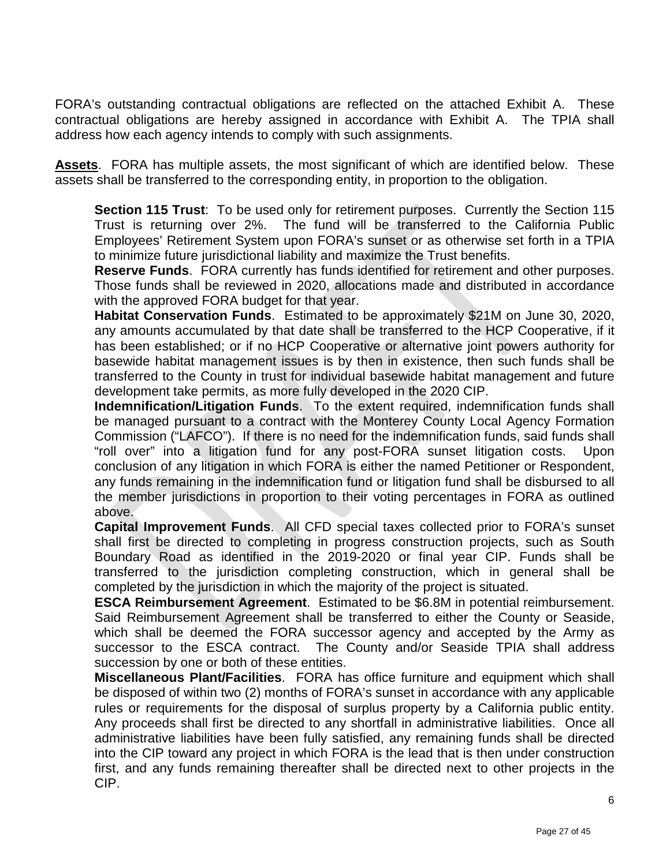FORA's outstanding contractual obligations are reflected on the attached Exhibit A. These contractual obligations are hereby assigned in accordance with Exhibit A. The TPIA shall address how each agency intends to comply with such assignments.

**Assets**. FORA has multiple assets, the most significant of which are identified below. These assets shall be transferred to the corresponding entity, in proportion to the obligation.

**Section 115 Trust:** To be used only for retirement purposes. Currently the Section 115 Trust is returning over 2%. The fund will be transferred to the California Public Employees' Retirement System upon FORA's sunset or as otherwise set forth in a TPIA to minimize future jurisdictional liability and maximize the Trust benefits.

**Reserve Funds**. FORA currently has funds identified for retirement and other purposes. Those funds shall be reviewed in 2020, allocations made and distributed in accordance with the approved FORA budget for that year.

**Habitat Conservation Funds**. Estimated to be approximately \$21M on June 30, 2020, any amounts accumulated by that date shall be transferred to the HCP Cooperative, if it has been established; or if no HCP Cooperative or alternative joint powers authority for basewide habitat management issues is by then in existence, then such funds shall be transferred to the County in trust for individual basewide habitat management and future development take permits, as more fully developed in the 2020 CIP.

**Indemnification/Litigation Funds**. To the extent required, indemnification funds shall be managed pursuant to a contract with the Monterey County Local Agency Formation Commission ("LAFCO"). If there is no need for the indemnification funds, said funds shall "roll over" into a litigation fund for any post-FORA sunset litigation costs. Upon conclusion of any litigation in which FORA is either the named Petitioner or Respondent, any funds remaining in the indemnification fund or litigation fund shall be disbursed to all the member jurisdictions in proportion to their voting percentages in FORA as outlined above.

**Capital Improvement Funds**. All CFD special taxes collected prior to FORA's sunset shall first be directed to completing in progress construction projects, such as South Boundary Road as identified in the 2019-2020 or final year CIP. Funds shall be transferred to the jurisdiction completing construction, which in general shall be completed by the jurisdiction in which the majority of the project is situated.

**ESCA Reimbursement Agreement**. Estimated to be \$6.8M in potential reimbursement. Said Reimbursement Agreement shall be transferred to either the County or Seaside, which shall be deemed the FORA successor agency and accepted by the Army as successor to the ESCA contract. The County and/or Seaside TPIA shall address succession by one or both of these entities.

**Miscellaneous Plant/Facilities**.FORA has office furniture and equipment which shall be disposed of within two (2) months of FORA's sunset in accordance with any applicable rules or requirements for the disposal of surplus property by a California public entity. Any proceeds shall first be directed to any shortfall in administrative liabilities. Once all administrative liabilities have been fully satisfied, any remaining funds shall be directed into the CIP toward any project in which FORA is the lead that is then under construction first, and any funds remaining thereafter shall be directed next to other projects in the CIP.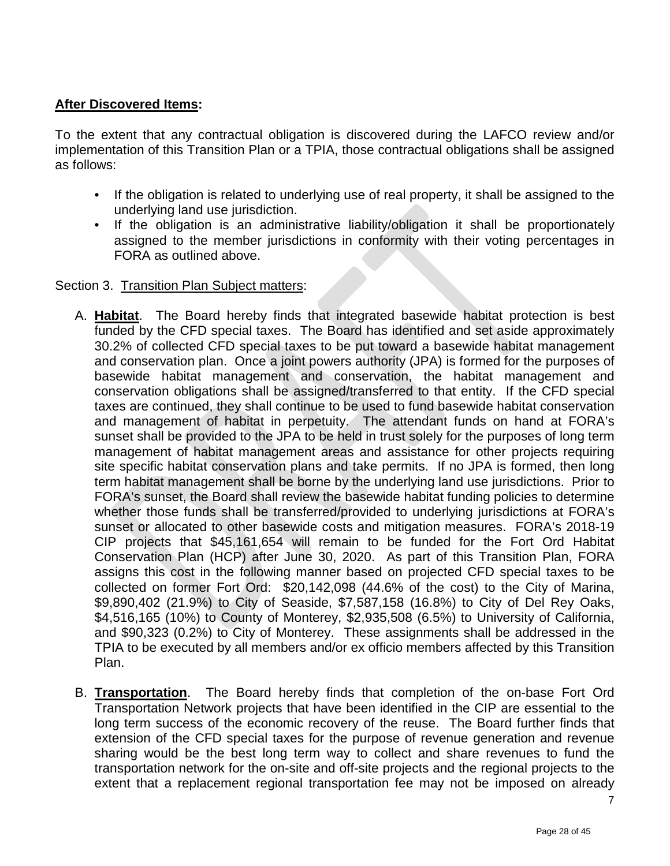# **After Discovered Items:**

To the extent that any contractual obligation is discovered during the LAFCO review and/or implementation of this Transition Plan or a TPIA, those contractual obligations shall be assigned as follows:

- If the obligation is related to underlying use of real property, it shall be assigned to the underlying land use jurisdiction.
- If the obligation is an administrative liability/obligation it shall be proportionately assigned to the member jurisdictions in conformity with their voting percentages in FORA as outlined above.

#### Section 3. Transition Plan Subject matters:

- A. **Habitat**. The Board hereby finds that integrated basewide habitat protection is best funded by the CFD special taxes. The Board has identified and set aside approximately 30.2% of collected CFD special taxes to be put toward a basewide habitat management and conservation plan. Once a joint powers authority (JPA) is formed for the purposes of basewide habitat management and conservation, the habitat management and conservation obligations shall be assigned/transferred to that entity. If the CFD special taxes are continued, they shall continue to be used to fund basewide habitat conservation and management of habitat in perpetuity. The attendant funds on hand at FORA's sunset shall be provided to the JPA to be held in trust solely for the purposes of long term management of habitat management areas and assistance for other projects requiring site specific habitat conservation plans and take permits. If no JPA is formed, then long term habitat management shall be borne by the underlying land use jurisdictions. Prior to FORA's sunset, the Board shall review the basewide habitat funding policies to determine whether those funds shall be transferred/provided to underlying jurisdictions at FORA's sunset or allocated to other basewide costs and mitigation measures. FORA's 2018-19 CIP projects that \$45,161,654 will remain to be funded for the Fort Ord Habitat Conservation Plan (HCP) after June 30, 2020. As part of this Transition Plan, FORA assigns this cost in the following manner based on projected CFD special taxes to be collected on former Fort Ord: \$20,142,098 (44.6% of the cost) to the City of Marina, \$9,890,402 (21.9%) to City of Seaside, \$7,587,158 (16.8%) to City of Del Rey Oaks, \$4,516,165 (10%) to County of Monterey, \$2,935,508 (6.5%) to University of California, and \$90,323 (0.2%) to City of Monterey. These assignments shall be addressed in the TPIA to be executed by all members and/or ex officio members affected by this Transition Plan.
- B. **Transportation**. The Board hereby finds that completion of the on-base Fort Ord Transportation Network projects that have been identified in the CIP are essential to the long term success of the economic recovery of the reuse. The Board further finds that extension of the CFD special taxes for the purpose of revenue generation and revenue sharing would be the best long term way to collect and share revenues to fund the transportation network for the on-site and off-site projects and the regional projects to the extent that a replacement regional transportation fee may not be imposed on already

7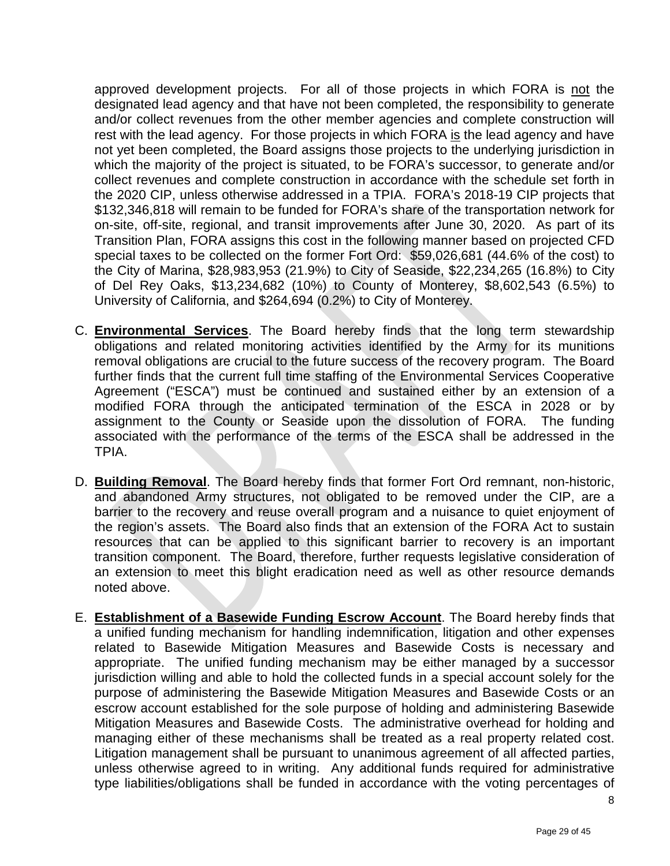approved development projects. For all of those projects in which FORA is not the designated lead agency and that have not been completed, the responsibility to generate and/or collect revenues from the other member agencies and complete construction will rest with the lead agency. For those projects in which FORA is the lead agency and have not yet been completed, the Board assigns those projects to the underlying jurisdiction in which the majority of the project is situated, to be FORA's successor, to generate and/or collect revenues and complete construction in accordance with the schedule set forth in the 2020 CIP, unless otherwise addressed in a TPIA. FORA's 2018-19 CIP projects that \$132,346,818 will remain to be funded for FORA's share of the transportation network for on-site, off-site, regional, and transit improvements after June 30, 2020. As part of its Transition Plan, FORA assigns this cost in the following manner based on projected CFD special taxes to be collected on the former Fort Ord: \$59,026,681 (44.6% of the cost) to the City of Marina, \$28,983,953 (21.9%) to City of Seaside, \$22,234,265 (16.8%) to City of Del Rey Oaks, \$13,234,682 (10%) to County of Monterey, \$8,602,543 (6.5%) to University of California, and \$264,694 (0.2%) to City of Monterey.

- C. **Environmental Services**. The Board hereby finds that the long term stewardship obligations and related monitoring activities identified by the Army for its munitions removal obligations are crucial to the future success of the recovery program. The Board further finds that the current full time staffing of the Environmental Services Cooperative Agreement ("ESCA") must be continued and sustained either by an extension of a modified FORA through the anticipated termination of the ESCA in 2028 or by assignment to the County or Seaside upon the dissolution of FORA. The funding associated with the performance of the terms of the ESCA shall be addressed in the TPIA.
- D. **Building Removal**. The Board hereby finds that former Fort Ord remnant, non-historic, and abandoned Army structures, not obligated to be removed under the CIP, are a barrier to the recovery and reuse overall program and a nuisance to quiet enjoyment of the region's assets. The Board also finds that an extension of the FORA Act to sustain resources that can be applied to this significant barrier to recovery is an important transition component. The Board, therefore, further requests legislative consideration of an extension to meet this blight eradication need as well as other resource demands noted above.
- E. **Establishment of a Basewide Funding Escrow Account**. The Board hereby finds that a unified funding mechanism for handling indemnification, litigation and other expenses related to Basewide Mitigation Measures and Basewide Costs is necessary and appropriate. The unified funding mechanism may be either managed by a successor jurisdiction willing and able to hold the collected funds in a special account solely for the purpose of administering the Basewide Mitigation Measures and Basewide Costs or an escrow account established for the sole purpose of holding and administering Basewide Mitigation Measures and Basewide Costs. The administrative overhead for holding and managing either of these mechanisms shall be treated as a real property related cost. Litigation management shall be pursuant to unanimous agreement of all affected parties, unless otherwise agreed to in writing. Any additional funds required for administrative type liabilities/obligations shall be funded in accordance with the voting percentages of

8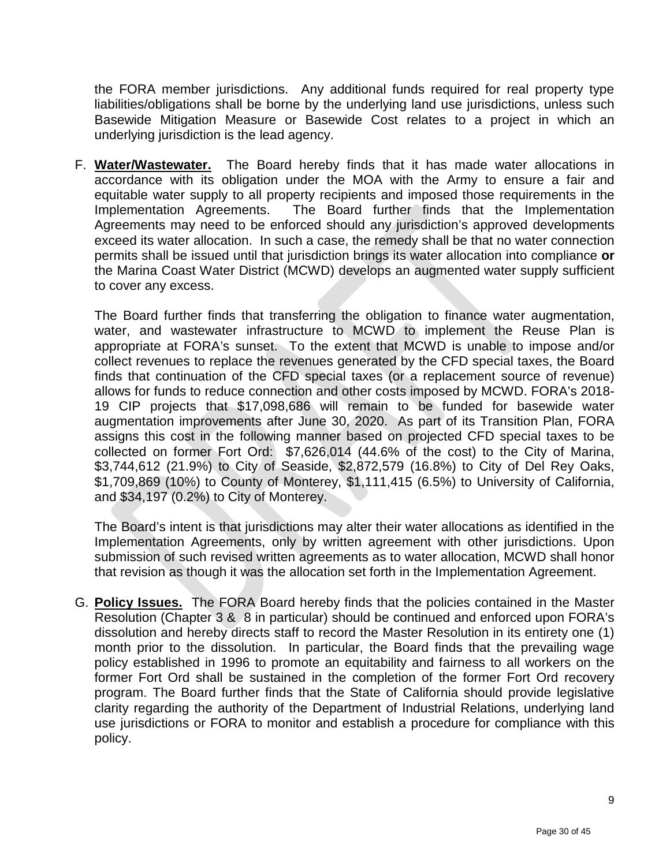the FORA member jurisdictions. Any additional funds required for real property type liabilities/obligations shall be borne by the underlying land use jurisdictions, unless such Basewide Mitigation Measure or Basewide Cost relates to a project in which an underlying jurisdiction is the lead agency.

F. **Water/Wastewater.** The Board hereby finds that it has made water allocations in accordance with its obligation under the MOA with the Army to ensure a fair and equitable water supply to all property recipients and imposed those requirements in the Implementation Agreements. The Board further finds that the Implementation The Board further finds that the Implementation Agreements may need to be enforced should any jurisdiction's approved developments exceed its water allocation. In such a case, the remedy shall be that no water connection permits shall be issued until that jurisdiction brings its water allocation into compliance **or** the Marina Coast Water District (MCWD) develops an augmented water supply sufficient to cover any excess.

The Board further finds that transferring the obligation to finance water augmentation, water, and wastewater infrastructure to MCWD to implement the Reuse Plan is appropriate at FORA's sunset. To the extent that MCWD is unable to impose and/or collect revenues to replace the revenues generated by the CFD special taxes, the Board finds that continuation of the CFD special taxes (or a replacement source of revenue) allows for funds to reduce connection and other costs imposed by MCWD. FORA's 2018- 19 CIP projects that \$17,098,686 will remain to be funded for basewide water augmentation improvements after June 30, 2020. As part of its Transition Plan, FORA assigns this cost in the following manner based on projected CFD special taxes to be collected on former Fort Ord: \$7,626,014 (44.6% of the cost) to the City of Marina, \$3,744,612 (21.9%) to City of Seaside, \$2,872,579 (16.8%) to City of Del Rey Oaks, \$1,709,869 (10%) to County of Monterey, \$1,111,415 (6.5%) to University of California, and \$34,197 (0.2%) to City of Monterey.

The Board's intent is that jurisdictions may alter their water allocations as identified in the Implementation Agreements, only by written agreement with other jurisdictions. Upon submission of such revised written agreements as to water allocation, MCWD shall honor that revision as though it was the allocation set forth in the Implementation Agreement.

G. **Policy Issues.** The FORA Board hereby finds that the policies contained in the Master Resolution (Chapter 3 & 8 in particular) should be continued and enforced upon FORA's dissolution and hereby directs staff to record the Master Resolution in its entirety one (1) month prior to the dissolution. In particular, the Board finds that the prevailing wage policy established in 1996 to promote an equitability and fairness to all workers on the former Fort Ord shall be sustained in the completion of the former Fort Ord recovery program. The Board further finds that the State of California should provide legislative clarity regarding the authority of the Department of Industrial Relations, underlying land use jurisdictions or FORA to monitor and establish a procedure for compliance with this policy.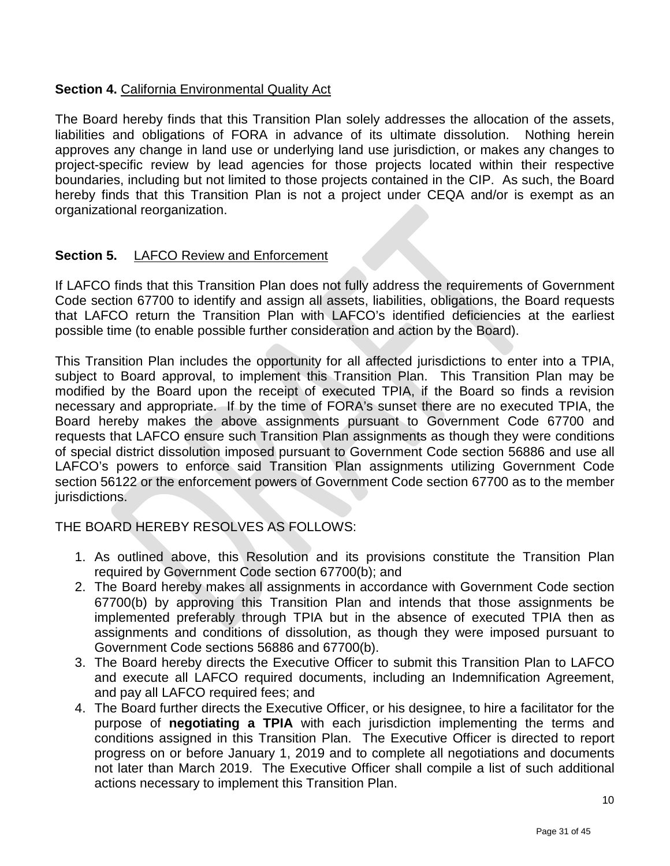# **Section 4.** California Environmental Quality Act

The Board hereby finds that this Transition Plan solely addresses the allocation of the assets, liabilities and obligations of FORA in advance of its ultimate dissolution. Nothing herein approves any change in land use or underlying land use jurisdiction, or makes any changes to project-specific review by lead agencies for those projects located within their respective boundaries, including but not limited to those projects contained in the CIP. As such, the Board hereby finds that this Transition Plan is not a project under CEQA and/or is exempt as an organizational reorganization.

#### **Section 5.** LAFCO Review and Enforcement

If LAFCO finds that this Transition Plan does not fully address the requirements of Government Code section 67700 to identify and assign all assets, liabilities, obligations, the Board requests that LAFCO return the Transition Plan with LAFCO's identified deficiencies at the earliest possible time (to enable possible further consideration and action by the Board).

This Transition Plan includes the opportunity for all affected jurisdictions to enter into a TPIA, subject to Board approval, to implement this Transition Plan. This Transition Plan may be modified by the Board upon the receipt of executed TPIA, if the Board so finds a revision necessary and appropriate. If by the time of FORA's sunset there are no executed TPIA, the Board hereby makes the above assignments pursuant to Government Code 67700 and requests that LAFCO ensure such Transition Plan assignments as though they were conditions of special district dissolution imposed pursuant to Government Code section 56886 and use all LAFCO's powers to enforce said Transition Plan assignments utilizing Government Code section 56122 or the enforcement powers of Government Code section 67700 as to the member jurisdictions.

THE BOARD HEREBY RESOLVES AS FOLLOWS:

- 1. As outlined above, this Resolution and its provisions constitute the Transition Plan required by Government Code section 67700(b); and
- 2. The Board hereby makes all assignments in accordance with Government Code section 67700(b) by approving this Transition Plan and intends that those assignments be implemented preferably through TPIA but in the absence of executed TPIA then as assignments and conditions of dissolution, as though they were imposed pursuant to Government Code sections 56886 and 67700(b).
- 3. The Board hereby directs the Executive Officer to submit this Transition Plan to LAFCO and execute all LAFCO required documents, including an Indemnification Agreement, and pay all LAFCO required fees; and
- 4. The Board further directs the Executive Officer, or his designee, to hire a facilitator for the purpose of **negotiating a TPIA** with each jurisdiction implementing the terms and conditions assigned in this Transition Plan. The Executive Officer is directed to report progress on or before January 1, 2019 and to complete all negotiations and documents not later than March 2019. The Executive Officer shall compile a list of such additional actions necessary to implement this Transition Plan.